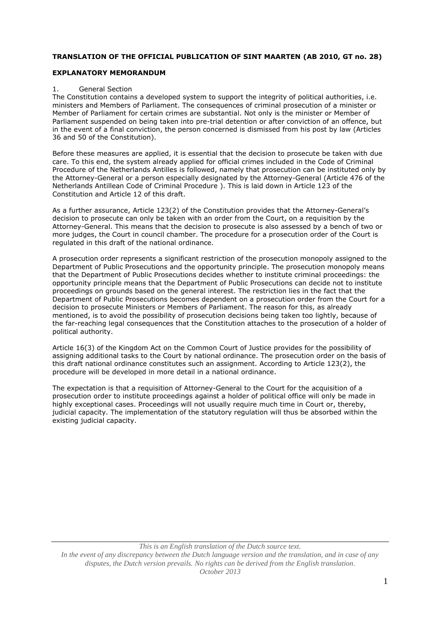### **TRANSLATION OF THE OFFICIAL PUBLICATION OF SINT MAARTEN (AB 2010, GT no. 28)**

### **EXPLANATORY MEMORANDUM**

#### 1. General Section

The Constitution contains a developed system to support the integrity of political authorities, i.e. ministers and Members of Parliament. The consequences of criminal prosecution of a minister or Member of Parliament for certain crimes are substantial. Not only is the minister or Member of Parliament suspended on being taken into pre-trial detention or after conviction of an offence, but in the event of a final conviction, the person concerned is dismissed from his post by law (Articles 36 and 50 of the Constitution).

Before these measures are applied, it is essential that the decision to prosecute be taken with due care. To this end, the system already applied for official crimes included in the Code of Criminal Procedure of the Netherlands Antilles is followed, namely that prosecution can be instituted only by the Attorney-General or a person especially designated by the Attorney-General (Article 476 of the Netherlands Antillean Code of Criminal Procedure ). This is laid down in Article 123 of the Constitution and Article 12 of this draft.

As a further assurance, Article 123(2) of the Constitution provides that the Attorney-General's decision to prosecute can only be taken with an order from the Court, on a requisition by the Attorney-General. This means that the decision to prosecute is also assessed by a bench of two or more judges, the Court in council chamber. The procedure for a prosecution order of the Court is regulated in this draft of the national ordinance.

A prosecution order represents a significant restriction of the prosecution monopoly assigned to the Department of Public Prosecutions and the opportunity principle. The prosecution monopoly means that the Department of Public Prosecutions decides whether to institute criminal proceedings: the opportunity principle means that the Department of Public Prosecutions can decide not to institute proceedings on grounds based on the general interest. The restriction lies in the fact that the Department of Public Prosecutions becomes dependent on a prosecution order from the Court for a decision to prosecute Ministers or Members of Parliament. The reason for this, as already mentioned, is to avoid the possibility of prosecution decisions being taken too lightly, because of the far-reaching legal consequences that the Constitution attaches to the prosecution of a holder of political authority.

Article 16(3) of the Kingdom Act on the Common Court of Justice provides for the possibility of assigning additional tasks to the Court by national ordinance. The prosecution order on the basis of this draft national ordinance constitutes such an assignment. According to Article 123(2), the procedure will be developed in more detail in a national ordinance.

The expectation is that a requisition of Attorney-General to the Court for the acquisition of a prosecution order to institute proceedings against a holder of political office will only be made in highly exceptional cases. Proceedings will not usually require much time in Court or, thereby, judicial capacity. The implementation of the statutory regulation will thus be absorbed within the existing judicial capacity.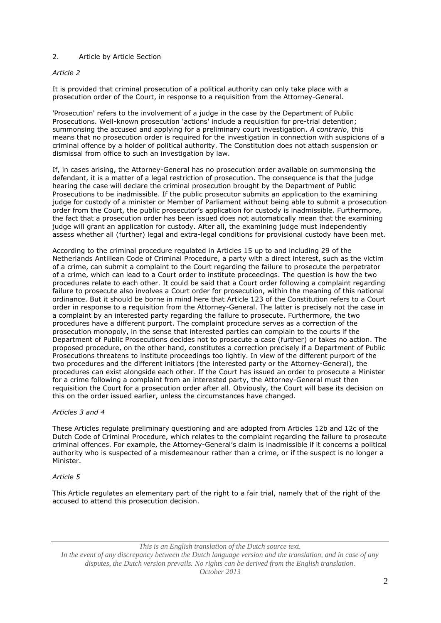# 2. Article by Article Section

# *Article 2*

It is provided that criminal prosecution of a political authority can only take place with a prosecution order of the Court, in response to a requisition from the Attorney-General.

'Prosecution' refers to the involvement of a judge in the case by the Department of Public Prosecutions. Well-known prosecution 'actions' include a requisition for pre-trial detention; summonsing the accused and applying for a preliminary court investigation. *A contrario*, this means that no prosecution order is required for the investigation in connection with suspicions of a criminal offence by a holder of political authority. The Constitution does not attach suspension or dismissal from office to such an investigation by law.

If, in cases arising, the Attorney-General has no prosecution order available on summonsing the defendant, it is a matter of a legal restriction of prosecution. The consequence is that the judge hearing the case will declare the criminal prosecution brought by the Department of Public Prosecutions to be inadmissible. If the public prosecutor submits an application to the examining judge for custody of a minister or Member of Parliament without being able to submit a prosecution order from the Court, the public prosecutor's application for custody is inadmissible. Furthermore, the fact that a prosecution order has been issued does not automatically mean that the examining judge will grant an application for custody. After all, the examining judge must independently assess whether all (further) legal and extra-legal conditions for provisional custody have been met.

According to the criminal procedure regulated in Articles 15 up to and including 29 of the Netherlands Antillean Code of Criminal Procedure, a party with a direct interest, such as the victim of a crime, can submit a complaint to the Court regarding the failure to prosecute the perpetrator of a crime, which can lead to a Court order to institute proceedings. The question is how the two procedures relate to each other. It could be said that a Court order following a complaint regarding failure to prosecute also involves a Court order for prosecution, within the meaning of this national ordinance. But it should be borne in mind here that Article 123 of the Constitution refers to a Court order in response to a requisition from the Attorney-General. The latter is precisely not the case in a complaint by an interested party regarding the failure to prosecute. Furthermore, the two procedures have a different purport. The complaint procedure serves as a correction of the prosecution monopoly, in the sense that interested parties can complain to the courts if the Department of Public Prosecutions decides not to prosecute a case (further) or takes no action. The proposed procedure, on the other hand, constitutes a correction precisely if a Department of Public Prosecutions threatens to institute proceedings too lightly. In view of the different purport of the two procedures and the different initiators (the interested party or the Attorney-General), the procedures can exist alongside each other. If the Court has issued an order to prosecute a Minister for a crime following a complaint from an interested party, the Attorney-General must then requisition the Court for a prosecution order after all. Obviously, the Court will base its decision on this on the order issued earlier, unless the circumstances have changed.

# *Articles 3 and 4*

These Articles regulate preliminary questioning and are adopted from Articles 12b and 12c of the Dutch Code of Criminal Procedure, which relates to the complaint regarding the failure to prosecute criminal offences. For example, the Attorney-General's claim is inadmissible if it concerns a political authority who is suspected of a misdemeanour rather than a crime, or if the suspect is no longer a Minister.

# *Article 5*

This Article regulates an elementary part of the right to a fair trial, namely that of the right of the accused to attend this prosecution decision.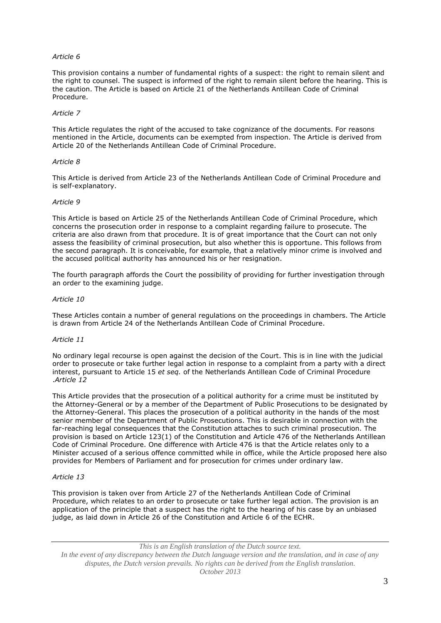### *Article 6*

This provision contains a number of fundamental rights of a suspect: the right to remain silent and the right to counsel. The suspect is informed of the right to remain silent before the hearing. This is the caution. The Article is based on Article 21 of the Netherlands Antillean Code of Criminal Procedure.

### *Article 7*

This Article regulates the right of the accused to take cognizance of the documents. For reasons mentioned in the Article, documents can be exempted from inspection. The Article is derived from Article 20 of the Netherlands Antillean Code of Criminal Procedure.

### *Article 8*

This Article is derived from Article 23 of the Netherlands Antillean Code of Criminal Procedure and is self-explanatory.

### *Article 9*

This Article is based on Article 25 of the Netherlands Antillean Code of Criminal Procedure, which concerns the prosecution order in response to a complaint regarding failure to prosecute. The criteria are also drawn from that procedure. It is of great importance that the Court can not only assess the feasibility of criminal prosecution, but also whether this is opportune. This follows from the second paragraph. It is conceivable, for example, that a relatively minor crime is involved and the accused political authority has announced his or her resignation.

The fourth paragraph affords the Court the possibility of providing for further investigation through an order to the examining judge.

### *Article 10*

These Articles contain a number of general regulations on the proceedings in chambers. The Article is drawn from Article 24 of the Netherlands Antillean Code of Criminal Procedure.

### *Article 11*

No ordinary legal recourse is open against the decision of the Court. This is in line with the judicial order to prosecute or take further legal action in response to a complaint from a party with a direct interest, pursuant to Article 15 *et seq.* of the Netherlands Antillean Code of Criminal Procedure .*Article 12*

This Article provides that the prosecution of a political authority for a crime must be instituted by the Attorney-General or by a member of the Department of Public Prosecutions to be designated by the Attorney-General. This places the prosecution of a political authority in the hands of the most senior member of the Department of Public Prosecutions. This is desirable in connection with the far-reaching legal consequences that the Constitution attaches to such criminal prosecution. The provision is based on Article 123(1) of the Constitution and Article 476 of the Netherlands Antillean Code of Criminal Procedure. One difference with Article 476 is that the Article relates only to a Minister accused of a serious offence committed while in office, while the Article proposed here also provides for Members of Parliament and for prosecution for crimes under ordinary law.

### *Article 13*

This provision is taken over from Article 27 of the Netherlands Antillean Code of Criminal Procedure, which relates to an order to prosecute or take further legal action. The provision is an application of the principle that a suspect has the right to the hearing of his case by an unbiased judge, as laid down in Article 26 of the Constitution and Article 6 of the ECHR.